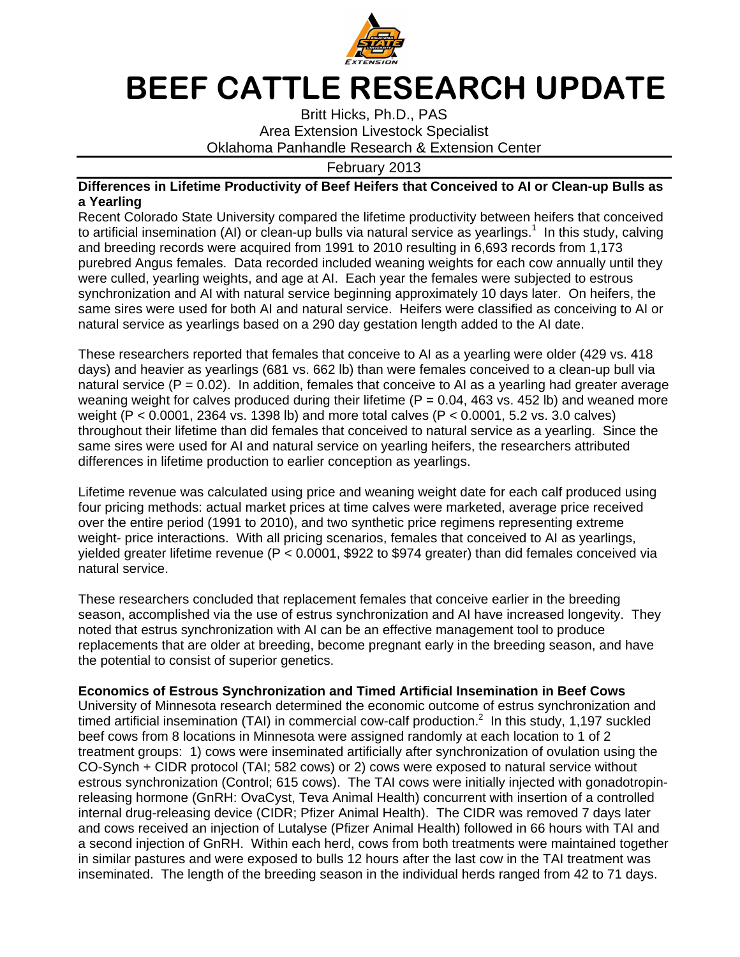

## BEEF CATTLE RESEARCH UPDATE

Britt Hicks, Ph.D., PAS Area Extension Livestock Specialist Oklahoma Panhandle Research & Extension Center

February 2013

## **Differences in Lifetime Productivity of Beef Heifers that Conceived to AI or Clean-up Bulls as a Yearling**

Recent Colorado State University compared the lifetime productivity between heifers that conceived to artificial insemination (AI) or clean-up bulls via natural service as yearlings.<sup>1</sup> In this study, calving and breeding records were acquired from 1991 to 2010 resulting in 6,693 records from 1,173 purebred Angus females. Data recorded included weaning weights for each cow annually until they were culled, yearling weights, and age at AI. Each year the females were subjected to estrous synchronization and AI with natural service beginning approximately 10 days later. On heifers, the same sires were used for both AI and natural service. Heifers were classified as conceiving to AI or natural service as yearlings based on a 290 day gestation length added to the AI date.

These researchers reported that females that conceive to AI as a yearling were older (429 vs. 418 days) and heavier as yearlings (681 vs. 662 lb) than were females conceived to a clean-up bull via natural service ( $P = 0.02$ ). In addition, females that conceive to AI as a yearling had greater average weaning weight for calves produced during their lifetime ( $P = 0.04$ , 463 vs. 452 lb) and weaned more weight (P < 0.0001, 2364 vs. 1398 lb) and more total calves (P < 0.0001, 5.2 vs. 3.0 calves) throughout their lifetime than did females that conceived to natural service as a yearling. Since the same sires were used for AI and natural service on yearling heifers, the researchers attributed differences in lifetime production to earlier conception as yearlings.

Lifetime revenue was calculated using price and weaning weight date for each calf produced using four pricing methods: actual market prices at time calves were marketed, average price received over the entire period (1991 to 2010), and two synthetic price regimens representing extreme weight- price interactions. With all pricing scenarios, females that conceived to AI as yearlings, yielded greater lifetime revenue (P < 0.0001, \$922 to \$974 greater) than did females conceived via natural service.

These researchers concluded that replacement females that conceive earlier in the breeding season, accomplished via the use of estrus synchronization and AI have increased longevity. They noted that estrus synchronization with AI can be an effective management tool to produce replacements that are older at breeding, become pregnant early in the breeding season, and have the potential to consist of superior genetics.

## **Economics of Estrous Synchronization and Timed Artificial Insemination in Beef Cows**

University of Minnesota research determined the economic outcome of estrus synchronization and timed artificial insemination (TAI) in commercial cow-calf production.<sup>2</sup> In this study, 1,197 suckled beef cows from 8 locations in Minnesota were assigned randomly at each location to 1 of 2 treatment groups: 1) cows were inseminated artificially after synchronization of ovulation using the CO-Synch + CIDR protocol (TAI; 582 cows) or 2) cows were exposed to natural service without estrous synchronization (Control; 615 cows). The TAI cows were initially injected with gonadotropinreleasing hormone (GnRH: OvaCyst, Teva Animal Health) concurrent with insertion of a controlled internal drug-releasing device (CIDR; Pfizer Animal Health). The CIDR was removed 7 days later and cows received an injection of Lutalyse (Pfizer Animal Health) followed in 66 hours with TAI and a second injection of GnRH. Within each herd, cows from both treatments were maintained together in similar pastures and were exposed to bulls 12 hours after the last cow in the TAI treatment was inseminated. The length of the breeding season in the individual herds ranged from 42 to 71 days.